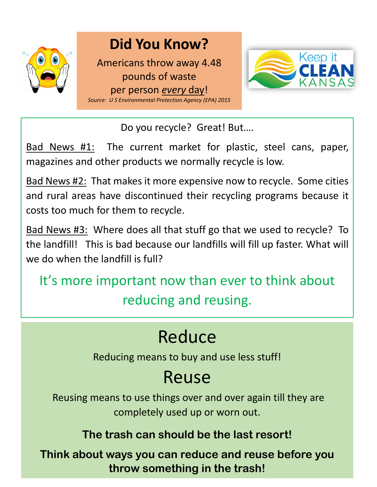

## **Did You Know?**

Americans throw away 4.48 pounds of waste per person *every* day!



*Source: U S Environmental Protection Agency (EPA) 2015*

Do you recycle? Great! But….

Bad News #1: The current market for plastic, steel cans, paper, magazines and other products we normally recycle is low.

Bad News #2: That makes it more expensive now to recycle. Some cities and rural areas have discontinued their recycling programs because it costs too much for them to recycle.

Bad News #3: Where does all that stuff go that we used to recycle? To the landfill! This is bad because our landfills will fill up faster. What will we do when the landfill is full?

## It's more important now than ever to think about reducing and reusing.

# Reduce

Reducing means to buy and use less stuff!

# Reuse

Reusing means to use things over and over again till they are completely used up or worn out.

**The trash can should be the last resort!** 

**Think about ways you can reduce and reuse before you throw something in the trash!**